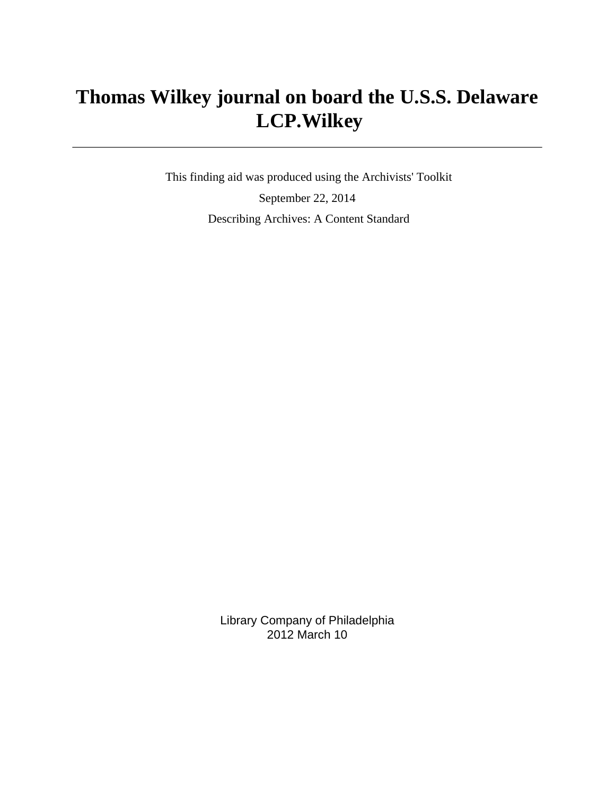# **Thomas Wilkey journal on board the U.S.S. Delaware LCP.Wilkey**

 This finding aid was produced using the Archivists' Toolkit September 22, 2014 Describing Archives: A Content Standard

> Library Company of Philadelphia 2012 March 10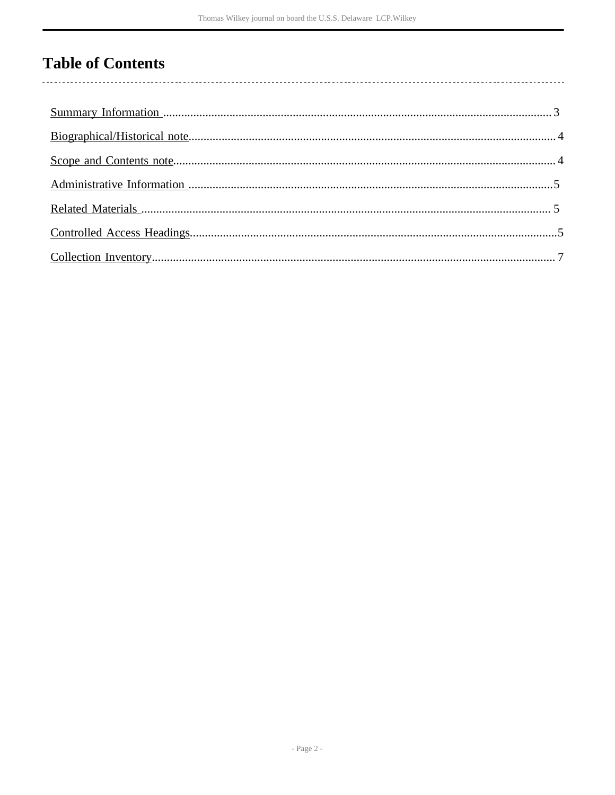# **Table of Contents**

 $\overline{\phantom{a}}$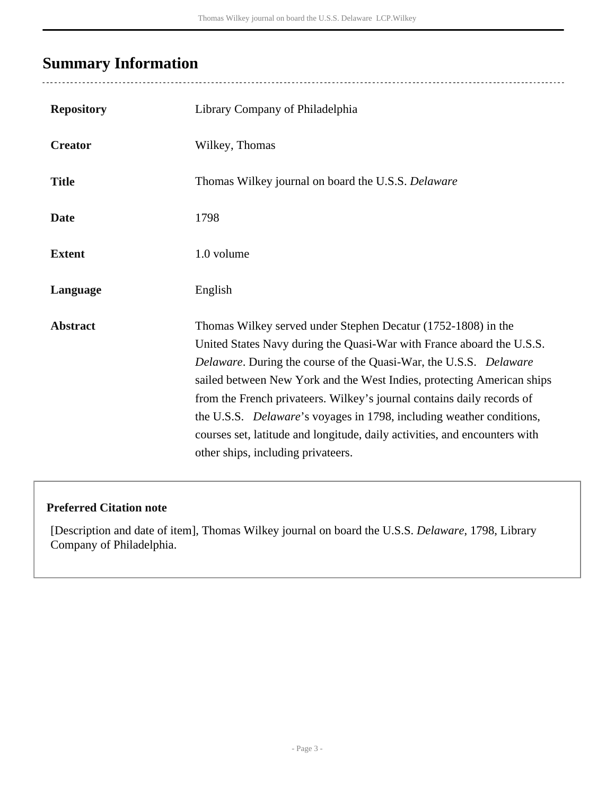# <span id="page-2-0"></span>**Summary Information**

| <b>Repository</b> | Library Company of Philadelphia                                                                                                                                                                                                                                                                                                                                                                                                                                                                                                                                                  |
|-------------------|----------------------------------------------------------------------------------------------------------------------------------------------------------------------------------------------------------------------------------------------------------------------------------------------------------------------------------------------------------------------------------------------------------------------------------------------------------------------------------------------------------------------------------------------------------------------------------|
| <b>Creator</b>    | Wilkey, Thomas                                                                                                                                                                                                                                                                                                                                                                                                                                                                                                                                                                   |
| <b>Title</b>      | Thomas Wilkey journal on board the U.S.S. Delaware                                                                                                                                                                                                                                                                                                                                                                                                                                                                                                                               |
| <b>Date</b>       | 1798                                                                                                                                                                                                                                                                                                                                                                                                                                                                                                                                                                             |
| <b>Extent</b>     | 1.0 volume                                                                                                                                                                                                                                                                                                                                                                                                                                                                                                                                                                       |
| Language          | English                                                                                                                                                                                                                                                                                                                                                                                                                                                                                                                                                                          |
| <b>Abstract</b>   | Thomas Wilkey served under Stephen Decatur (1752-1808) in the<br>United States Navy during the Quasi-War with France aboard the U.S.S.<br><i>Delaware.</i> During the course of the Quasi-War, the U.S.S. <i>Delaware</i><br>sailed between New York and the West Indies, protecting American ships<br>from the French privateers. Wilkey's journal contains daily records of<br>the U.S.S. <i>Delaware's</i> voyages in 1798, including weather conditions,<br>courses set, latitude and longitude, daily activities, and encounters with<br>other ships, including privateers. |

#### **Preferred Citation note**

[Description and date of item], Thomas Wilkey journal on board the U.S.S. *Delaware*, 1798, Library Company of Philadelphia.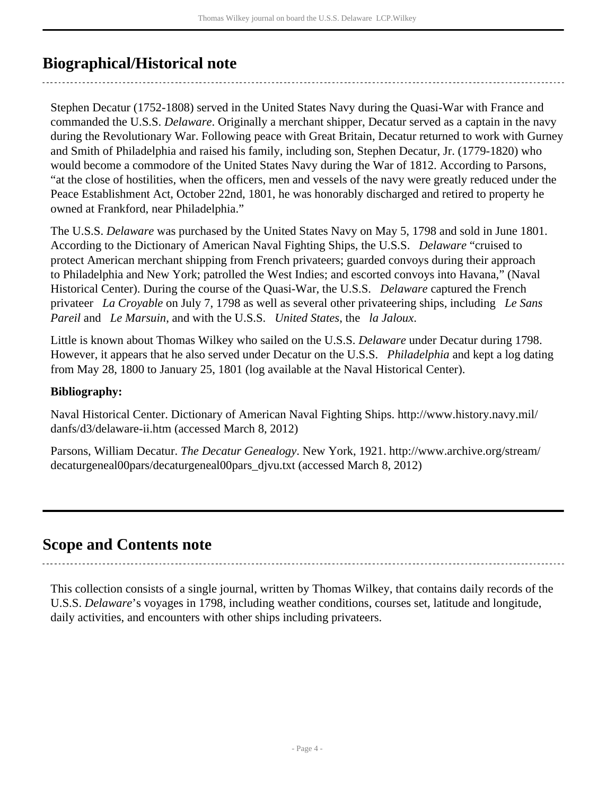## <span id="page-3-0"></span>**Biographical/Historical note**

Stephen Decatur (1752-1808) served in the United States Navy during the Quasi-War with France and commanded the U.S.S. *Delaware*. Originally a merchant shipper, Decatur served as a captain in the navy during the Revolutionary War. Following peace with Great Britain, Decatur returned to work with Gurney and Smith of Philadelphia and raised his family, including son, Stephen Decatur, Jr. (1779-1820) who would become a commodore of the United States Navy during the War of 1812. According to Parsons, "at the close of hostilities, when the officers, men and vessels of the navy were greatly reduced under the Peace Establishment Act, October 22nd, 1801, he was honorably discharged and retired to property he owned at Frankford, near Philadelphia."

The U.S.S. *Delaware* was purchased by the United States Navy on May 5, 1798 and sold in June 1801. According to the Dictionary of American Naval Fighting Ships, the U.S.S. *Delaware* "cruised to protect American merchant shipping from French privateers; guarded convoys during their approach to Philadelphia and New York; patrolled the West Indies; and escorted convoys into Havana," (Naval Historical Center). During the course of the Quasi-War, the U.S.S. *Delaware* captured the French privateer *La Croyable* on July 7, 1798 as well as several other privateering ships, including *Le Sans Pareil* and *Le Marsuin*, and with the U.S.S. *United States*, the *la Jaloux*.

Little is known about Thomas Wilkey who sailed on the U.S.S. *Delaware* under Decatur during 1798. However, it appears that he also served under Decatur on the U.S.S. *Philadelphia* and kept a log dating from May 28, 1800 to January 25, 1801 (log available at the Naval Historical Center).

#### **Bibliography:**

Naval Historical Center. Dictionary of American Naval Fighting Ships. http://www.history.navy.mil/ danfs/d3/delaware-ii.htm (accessed March 8, 2012)

Parsons, William Decatur. *The Decatur Genealogy*. New York, 1921. http://www.archive.org/stream/ decaturgeneal00pars/decaturgeneal00pars\_djvu.txt (accessed March 8, 2012)

## <span id="page-3-1"></span>**Scope and Contents note**

This collection consists of a single journal, written by Thomas Wilkey, that contains daily records of the U.S.S. *Delaware*'s voyages in 1798, including weather conditions, courses set, latitude and longitude, daily activities, and encounters with other ships including privateers.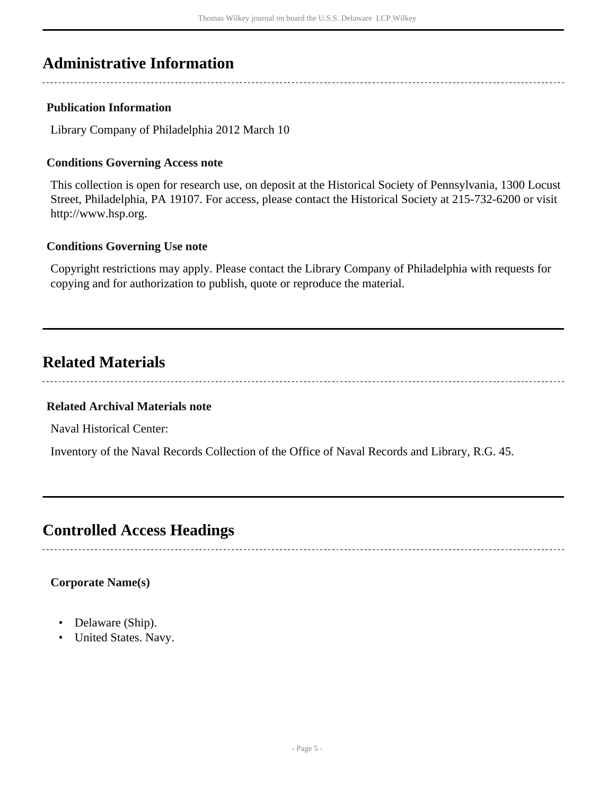## <span id="page-4-0"></span>**Administrative Information**

#### **Publication Information**

Library Company of Philadelphia 2012 March 10

#### **Conditions Governing Access note**

This collection is open for research use, on deposit at the Historical Society of Pennsylvania, 1300 Locust Street, Philadelphia, PA 19107. For access, please contact the Historical Society at 215-732-6200 or visit http://www.hsp.org.

#### **Conditions Governing Use note**

Copyright restrictions may apply. Please contact the Library Company of Philadelphia with requests for copying and for authorization to publish, quote or reproduce the material.

## <span id="page-4-1"></span>**Related Materials**

#### **Related Archival Materials note**

Naval Historical Center:

Inventory of the Naval Records Collection of the Office of Naval Records and Library, R.G. 45.

### <span id="page-4-2"></span>**Controlled Access Headings**

#### **Corporate Name(s)**

- Delaware (Ship).
- United States. Navy.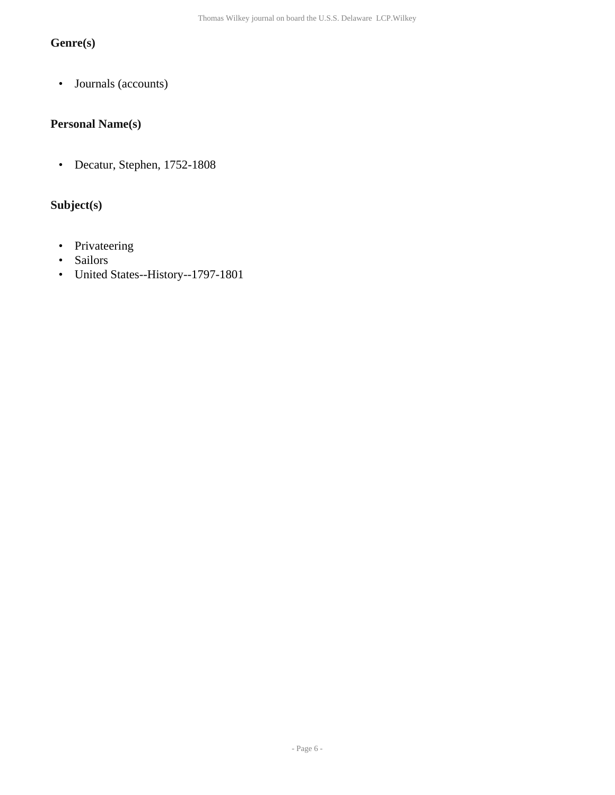### **Genre(s)**

• Journals (accounts)

#### **Personal Name(s)**

• Decatur, Stephen, 1752-1808

#### **Subject(s)**

- Privateering
- Sailors
- United States--History--1797-1801